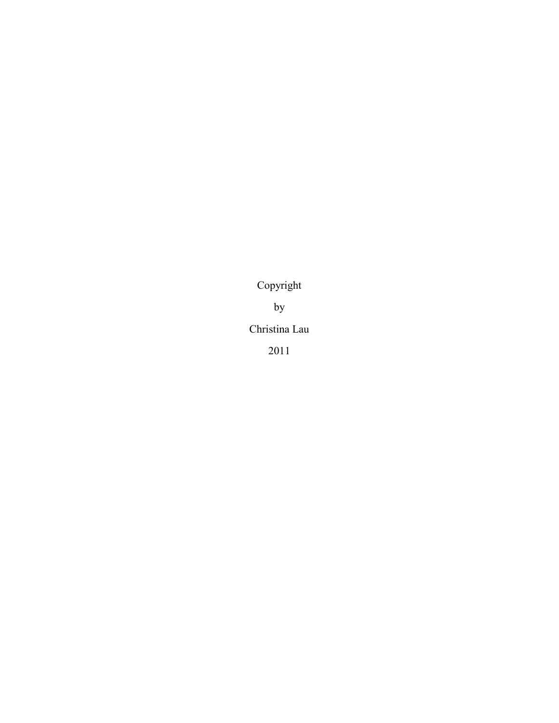Copyright

by

Christina Lau

2011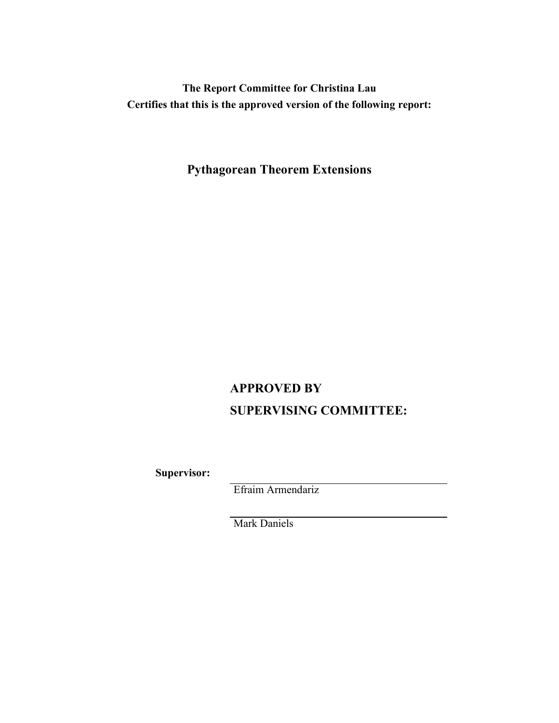**The Report Committee for Christina Lau Certifies that this is the approved version of the following report:**

**Pythagorean Theorem Extensions**

# **APPROVED BY SUPERVISING COMMITTEE:**

**Supervisor:**

Efraim Armendariz

Mark Daniels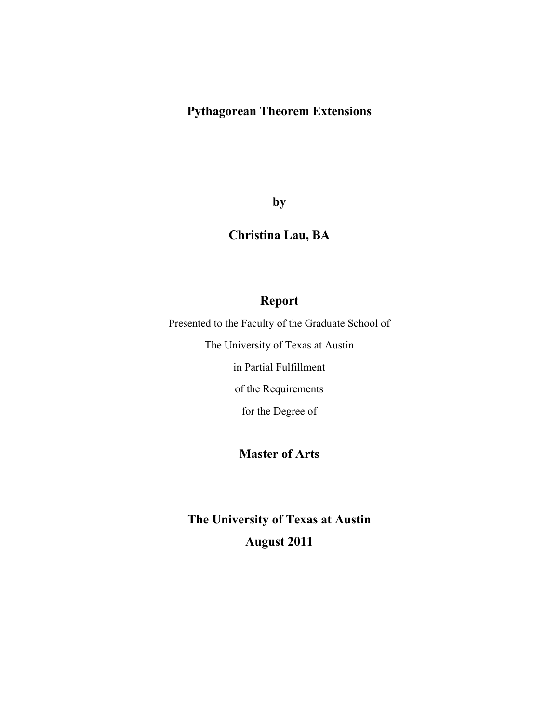# **Pythagorean Theorem Extensions**

**by**

## **Christina Lau, BA**

## **Report**

Presented to the Faculty of the Graduate School of

The University of Texas at Austin

in Partial Fulfillment

of the Requirements

for the Degree of

# **Master of Arts**

**The University of Texas at Austin August 2011**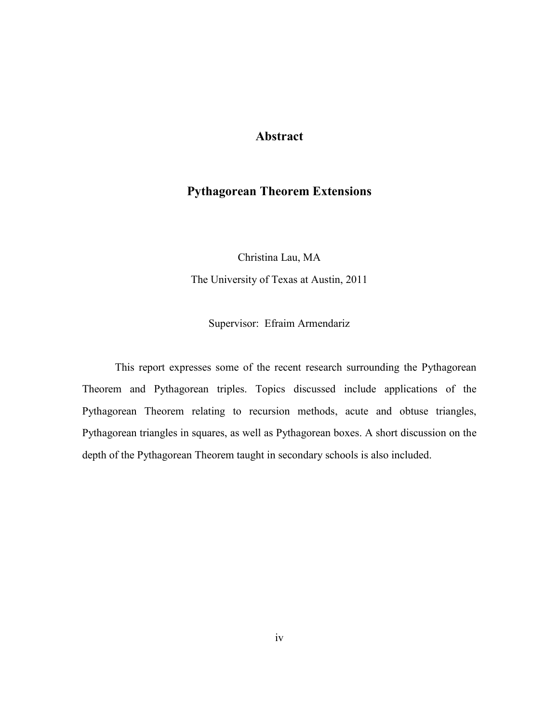## **Abstract**

### **Pythagorean Theorem Extensions**

Christina Lau, MA The University of Texas at Austin, 2011

Supervisor: Efraim Armendariz

This report expresses some of the recent research surrounding the Pythagorean Theorem and Pythagorean triples. Topics discussed include applications of the Pythagorean Theorem relating to recursion methods, acute and obtuse triangles, Pythagorean triangles in squares, as well as Pythagorean boxes. A short discussion on the depth of the Pythagorean Theorem taught in secondary schools is also included.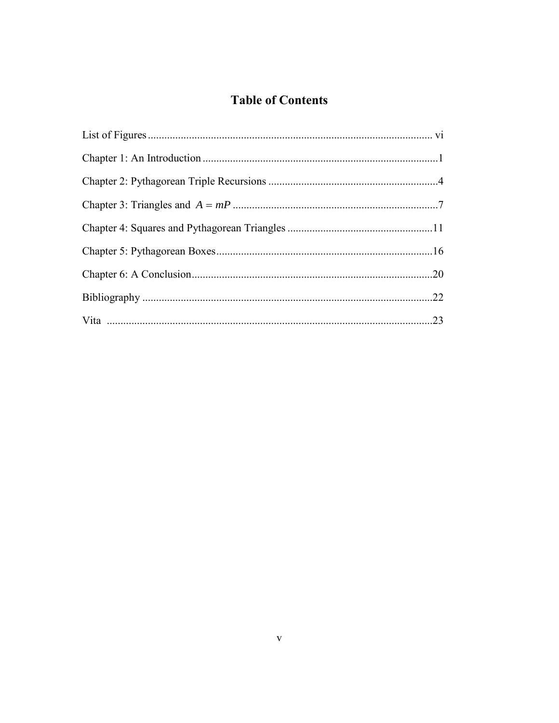# **Table of Contents**

| .22 |
|-----|
|     |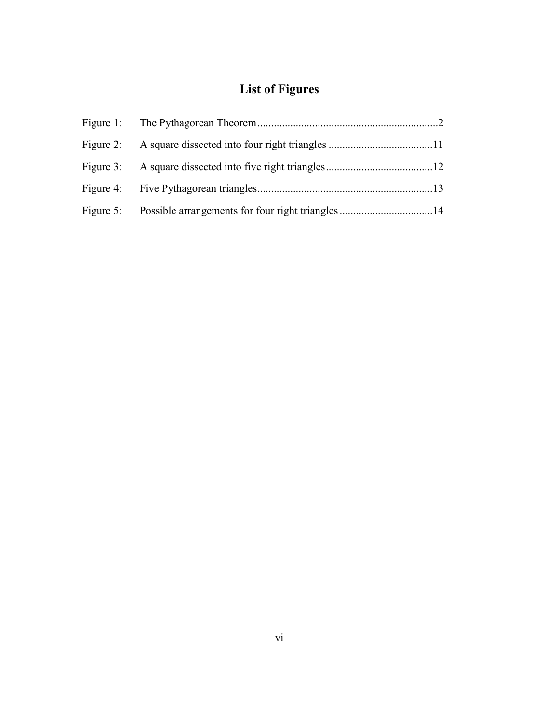# **List of Figures**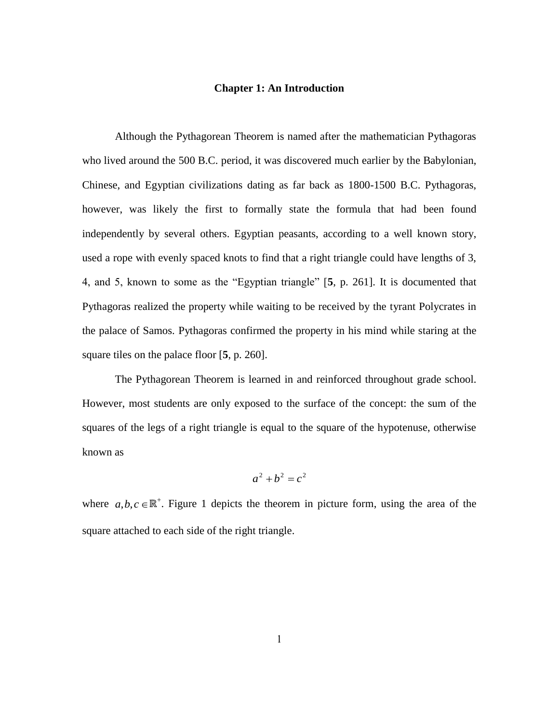#### **Chapter 1: An Introduction**

Although the Pythagorean Theorem is named after the mathematician Pythagoras who lived around the 500 B.C. period, it was discovered much earlier by the Babylonian, Chinese, and Egyptian civilizations dating as far back as 1800-1500 B.C. Pythagoras, however, was likely the first to formally state the formula that had been found independently by several others. Egyptian peasants, according to a well known story, used a rope with evenly spaced knots to find that a right triangle could have lengths of 3, 4, and 5, known to some as the "Egyptian triangle" [**5**, p. 261]. It is documented that Pythagoras realized the property while waiting to be received by the tyrant Polycrates in the palace of Samos. Pythagoras confirmed the property in his mind while staring at the square tiles on the palace floor [**5**, p. 260].

The Pythagorean Theorem is learned in and reinforced throughout grade school. However, most students are only exposed to the surface of the concept: the sum of the squares of the legs of a right triangle is equal to the square of the hypotenuse, otherwise known as

#### $a^2 + b^2 = c^2$

where  $a, b, c \in \mathbb{R}^+$ . Figure 1 depicts the theorem in picture form, using the area of the square attached to each side of the right triangle.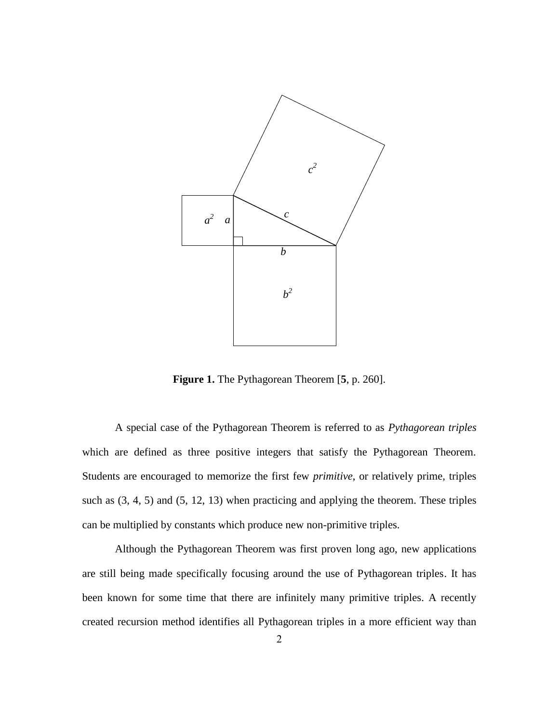

**Figure 1.** The Pythagorean Theorem [**5**, p. 260].

A special case of the Pythagorean Theorem is referred to as *Pythagorean triples* which are defined as three positive integers that satisfy the Pythagorean Theorem. Students are encouraged to memorize the first few *primitive*, or relatively prime, triples such as (3, 4, 5) and (5, 12, 13) when practicing and applying the theorem. These triples can be multiplied by constants which produce new non-primitive triples.

Although the Pythagorean Theorem was first proven long ago, new applications are still being made specifically focusing around the use of Pythagorean triples. It has been known for some time that there are infinitely many primitive triples. A recently created recursion method identifies all Pythagorean triples in a more efficient way than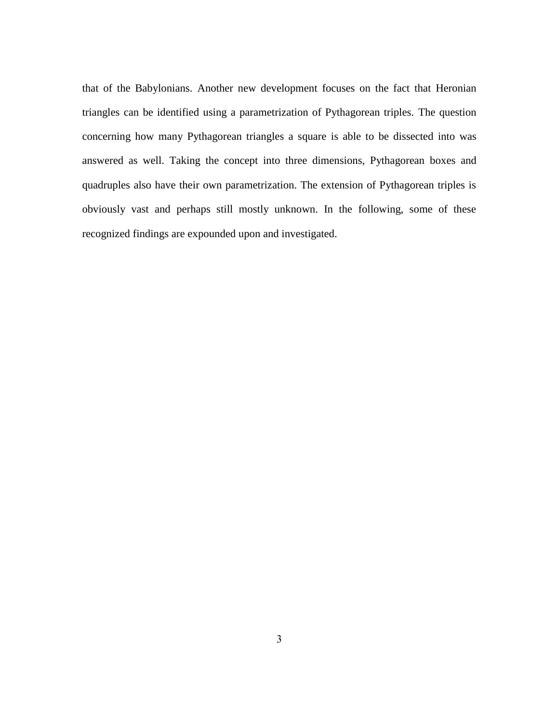that of the Babylonians. Another new development focuses on the fact that Heronian triangles can be identified using a parametrization of Pythagorean triples. The question concerning how many Pythagorean triangles a square is able to be dissected into was answered as well. Taking the concept into three dimensions, Pythagorean boxes and quadruples also have their own parametrization. The extension of Pythagorean triples is obviously vast and perhaps still mostly unknown. In the following, some of these recognized findings are expounded upon and investigated.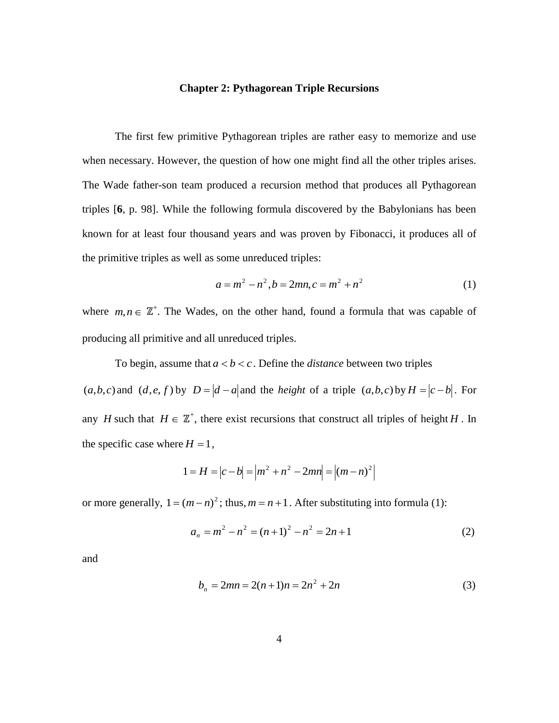#### **Chapter 2: Pythagorean Triple Recursions**

The first few primitive Pythagorean triples are rather easy to memorize and use when necessary. However, the question of how one might find all the other triples arises. The Wade father-son team produced a recursion method that produces all Pythagorean triples [**6**, p. 98]. While the following formula discovered by the Babylonians has been known for at least four thousand years and was proven by Fibonacci, it produces all of the primitive triples as well as some unreduced triples:

$$
a = m2 - n2, b = 2mn, c = m2 + n2
$$
 (1)

where  $m, n \in \mathbb{Z}^+$ . The Wades, on the other hand, found a formula that was capable of producing all primitive and all unreduced triples.

To begin, assume that  $a < b < c$ . Define the *distance* between two triples  $(a,b,c)$  and  $(d,e,f)$  by  $D = |d - a|$  and the *height* of a triple  $(a,b,c)$  by  $H = |c - b|$ . For any *H* such that  $H \in \mathbb{Z}^+$ , there exist recursions that construct all triples of height *H*. In the specific case where  $H = 1$ ,

$$
1 = H = |c - b| = |m2 + n2 - 2mn| = |(m - n)2|
$$

or more generally,  $1 = (m - n)^2$ ; thus,  $m = n + 1$ . After substituting into formula (1):

$$
a_n = m^2 - n^2 = (n+1)^2 - n^2 = 2n+1
$$
 (2)

and

$$
b_n = 2mn = 2(n+1)n = 2n^2 + 2n
$$
\n(3)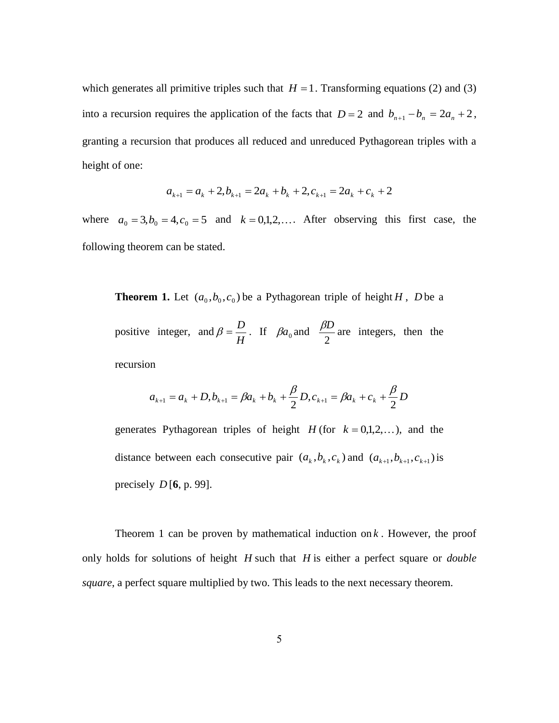which generates all primitive triples such that  $H = 1$ . Transforming equations (2) and (3) into a recursion requires the application of the facts that  $D = 2$  and  $b_{n+1} - b_n = 2a_n + 2$ , granting a recursion that produces all reduced and unreduced Pythagorean triples with a height of one:

$$
a_{k+1} = a_k + 2, b_{k+1} = 2a_k + b_k + 2, c_{k+1} = 2a_k + c_k + 2
$$

where  $a_0 = 3$ ,  $b_0 = 4$ ,  $c_0 = 5$  and  $k = 0,1,2,...$  After observing this first case, the following theorem can be stated.

**Theorem 1.** Let  $(a_0, b_0, c_0)$  be a Pythagorean triple of height *H*, *D* be a positive integer, and *H*  $\beta = \frac{D}{U}$ . If  $\beta a_0$  and 2  $\frac{\beta D}{\gamma}$  are integers, then the recursion

$$
a_{k+1} = a_k + D, b_{k+1} = \beta a_k + b_k + \frac{\beta}{2} D, c_{k+1} = \beta a_k + c_k + \frac{\beta}{2} D
$$

generates Pythagorean triples of height  $H$  (for  $k = 0,1,2,...$ ), and the distance between each consecutive pair  $(a_k, b_k, c_k)$  and  $(a_{k+1}, b_{k+1}, c_{k+1})$  is precisely *D* [**6**, p. 99].

Theorem 1 can be proven by mathematical induction on  $k$ . However, the proof only holds for solutions of height *H* such that *H* is either a perfect square or *double square*, a perfect square multiplied by two. This leads to the next necessary theorem.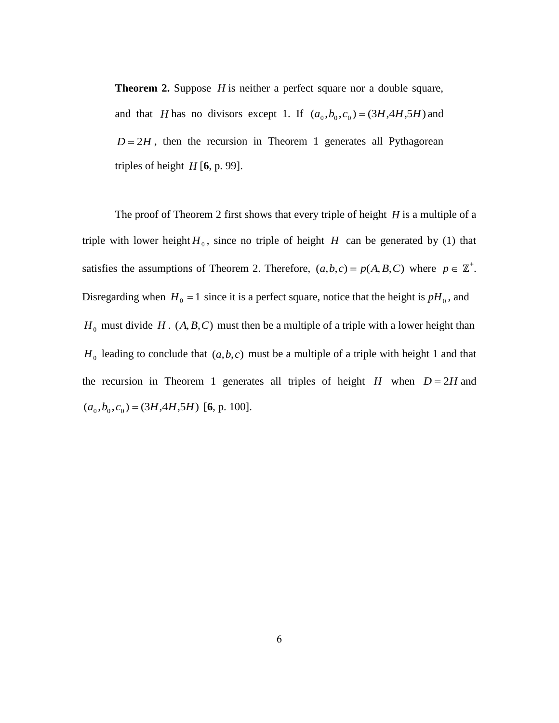**Theorem 2.** Suppose *H* is neither a perfect square nor a double square, and that *H* has no divisors except 1. If  $(a_0, b_0, c_0) = (3H, 4H, 5H)$  and  $D = 2H$ , then the recursion in Theorem 1 generates all Pythagorean triples of height  $H$  [6, p. 99].

The proof of Theorem 2 first shows that every triple of height *H* is a multiple of a triple with lower height  $H_0$ , since no triple of height H can be generated by (1) that satisfies the assumptions of Theorem 2. Therefore,  $(a,b,c) = p(A, B, C)$  where  $p \in \mathbb{Z}^+$ . Disregarding when  $H_0 = 1$  since it is a perfect square, notice that the height is  $pH_0$ , and  $H_0$  must divide  $H$ . (A,B,C) must then be a multiple of a triple with a lower height than  $H_0$  leading to conclude that  $(a,b,c)$  must be a multiple of a triple with height 1 and that the recursion in Theorem 1 generates all triples of height *H* when  $D = 2H$  and  $(a_0, b_0, c_0) = (3H, 4H, 5H)$  [6, p. 100].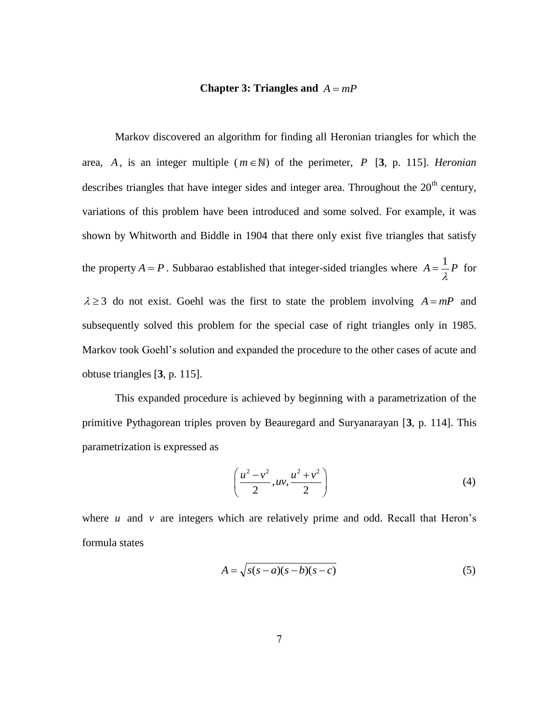#### **Chapter 3: Triangles and**  $A = mP$

Markov discovered an algorithm for finding all Heronian triangles for which the area, A, is an integer multiple  $(m \in \mathbb{N})$  of the perimeter, P [3, p. 115]. *Heronian* describes triangles that have integer sides and integer area. Throughout the  $20<sup>th</sup>$  century, variations of this problem have been introduced and some solved. For example, it was shown by Whitworth and Biddle in 1904 that there only exist five triangles that satisfy the property  $A = P$ . Subbarao established that integer-sided triangles where  $A = \frac{1}{\lambda}P$  for  $\lambda \geq 3$  do not exist. Goehl was the first to state the problem involving  $A = mP$  and subsequently solved this problem for the special case of right triangles only in 1985. Markov took Goehl's solution and expanded the procedure to the other cases of acute and obtuse triangles [**3**, p. 115].

This expanded procedure is achieved by beginning with a parametrization of the primitive Pythagorean triples proven by Beauregard and Suryanarayan [**3**, p. 114]. This parametrization is expressed as

$$
\left(\frac{u^2 - v^2}{2}, uv, \frac{u^2 + v^2}{2}\right)
$$
 (4)

where  $u$  and  $v$  are integers which are relatively prime and odd. Recall that Heron's formula states

$$
A = \sqrt{s(s-a)(s-b)(s-c)}\tag{5}
$$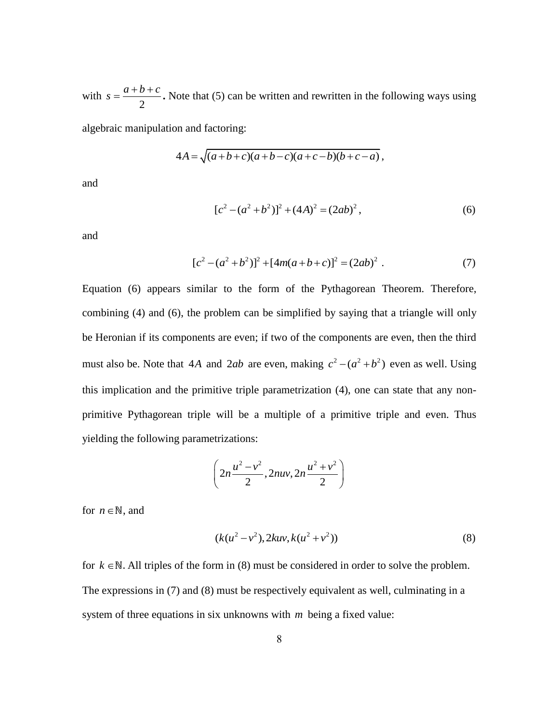with 2  $s = \frac{a+b+c}{2}$ . Note that (5) can be written and rewritten in the following ways using

algebraic manipulation and factoring:

$$
4A = \sqrt{(a+b+c)(a+b-c)(a+c-b)(b+c-a)},
$$

and

$$
[c2 - (a2 + b2)]2 + (4A)2 = (2ab)2,
$$
 (6)

and

$$
[c2 - (a2 + b2)]2 + [4m(a+b+c)]2 = (2ab)2
$$
 (7)

Equation (6) appears similar to the form of the Pythagorean Theorem. Therefore, combining (4) and (6), the problem can be simplified by saying that a triangle will only be Heronian if its components are even; if two of the components are even, then the third must also be. Note that 4A and 2*ab* are even, making  $c^2 - (a^2 + b^2)$  even as well. Using this implication and the primitive triple parametrization (4), one can state that any nonprimitive Pythagorean triple will be a multiple of a primitive triple and even. Thus yielding the following parametrizations:

$$
\left(2n\frac{u^2 - v^2}{2}, 2nuv, 2n\frac{u^2 + v^2}{2}\right)
$$

for  $n \in \mathbb{N}$ , and

$$
(k(u^2 - v^2), 2kuv, k(u^2 + v^2))
$$
\n(8)

for  $k \in \mathbb{N}$ . All triples of the form in (8) must be considered in order to solve the problem. The expressions in (7) and (8) must be respectively equivalent as well, culminating in a system of three equations in six unknowns with *m* being a fixed value: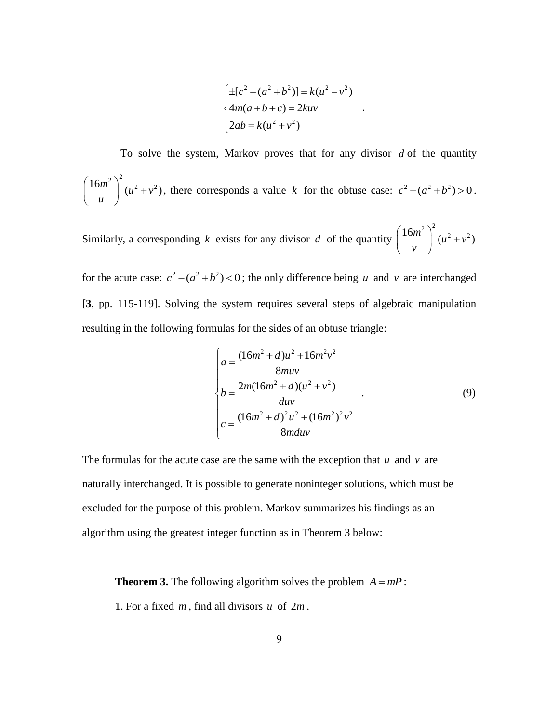$$
\begin{cases} \pm [c^2 - (a^2 + b^2)] = k(u^2 - v^2) \\ 4m(a + b + c) = 2kuv \\ 2ab = k(u^2 + v^2) \end{cases}
$$

 To solve the system, Markov proves that for any divisor *d* of the quantity  $\left(\frac{16m^2}{u^2+v^2}\right)^2$   $(u^2+v^2)$  $\left(\frac{16m^2}{u}\right)^2(u^2+$  $\begin{pmatrix} u \end{pmatrix}$ , there corresponds a value k for the obtuse case:  $c^2 - (a^2 + b^2) > 0$ .

Similarly, a corresponding  $k$  exists for any divisor  $d$  of the quantity  $\left(\frac{16m^2}{u^2+v^2}\right)^2$   $(u^2+v^2)$  $\left(\frac{16m^2}{v}\right)^2$   $(u^2 +$  $\left(\begin{array}{cc} v \end{array}\right)$ 

for the acute case:  $c^2 - (a^2 + b^2) < 0$ ; the only difference being *u* and *v* are interchanged [**3**, pp. 115-119]. Solving the system requires several steps of algebraic manipulation resulting in the following formulas for the sides of an obtuse triangle:

$$
\begin{cases}\na = \frac{(16m^2 + d)u^2 + 16m^2v^2}{8mu v} \\
b = \frac{2m(16m^2 + d)(u^2 + v^2)}{du v} \\
c = \frac{(16m^2 + d)^2u^2 + (16m^2)^2v^2}{8mduv}\n\end{cases}
$$
\n(9)

The formulas for the acute case are the same with the exception that  $u$  and  $v$  are naturally interchanged. It is possible to generate noninteger solutions, which must be excluded for the purpose of this problem. Markov summarizes his findings as an algorithm using the greatest integer function as in Theorem 3 below:

**Theorem 3.** The following algorithm solves the problem  $A = mP$ : 1. For a fixed  $m$ , find all divisors  $u$  of  $2m$ .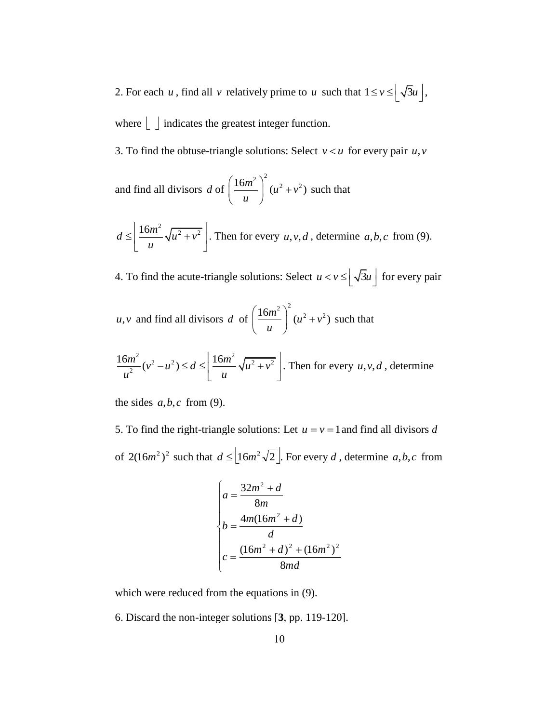2. For each *u*, find all *v* relatively prime to *u* such that  $1 \le v \le \lfloor \sqrt{3}u \rfloor$ ,

where  $\lfloor \ \rfloor$  indicates the greatest integer function.

3. To find the obtuse-triangle solutions: Select  $v \lt u$  for every pair  $u, v$ 

and find all divisors *d* of  $\left(\frac{16m^2}{u^2+v^2}\right)^2$   $(u^2+v^2)$  $\left(\frac{16m^2}{u}\right)^2$   $(u^2 +$  $\begin{pmatrix} u \end{pmatrix}$ such that

$$
d \le \left\lfloor \frac{16m^2}{u} \sqrt{u^2 + v^2} \right\rfloor.
$$
 Then for every  $u, v, d$ , determine  $a, b, c$  from (9).

4. To find the acute-triangle solutions: Select  $u < v \le \left[ \sqrt{3}u \right]$  for every pair

u, v and find all divisors d of  $\left(\frac{16m^2}{u^2+v^2}\right)^2$   $(u^2+v^2)$  $\left(\frac{16m^2}{u}\right)^2$   $(u^2 +$  $\begin{pmatrix} u \end{pmatrix}$ such that

$$
\frac{16m^2}{u^2}(v^2 - u^2) \le d \le \left[ \frac{16m^2}{u} \sqrt{u^2 + v^2} \right].
$$
 Then for every  $u, v, d$ , determine

the sides  $a, b, c$  from (9).

5. To find the right-triangle solutions: Let  $u = v = 1$  and find all divisors *d* of  $2(16m^2)^2$  such that  $d \leq 16m^2\sqrt{2}$ . For every *d*, determine *a*,*b*,*c* from

$$
\begin{cases}\na = \frac{32m^2 + d}{8m} \\
b = \frac{4m(16m^2 + d)}{d} \\
c = \frac{(16m^2 + d)^2 + (16m^2)^2}{8md}\n\end{cases}
$$

which were reduced from the equations in  $(9)$ .

6. Discard the non-integer solutions [**3**, pp. 119-120].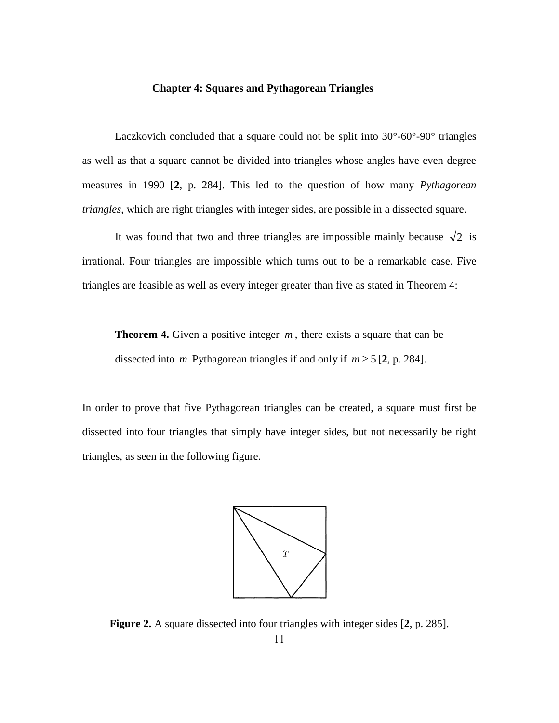#### **Chapter 4: Squares and Pythagorean Triangles**

Laczkovich concluded that a square could not be split into 30**°**-60**°**-90**°** triangles as well as that a square cannot be divided into triangles whose angles have even degree measures in 1990 [**2**, p. 284]. This led to the question of how many *Pythagorean triangles*, which are right triangles with integer sides, are possible in a dissected square.

It was found that two and three triangles are impossible mainly because  $\sqrt{2}$  is irrational. Four triangles are impossible which turns out to be a remarkable case. Five triangles are feasible as well as every integer greater than five as stated in Theorem 4:

**Theorem 4.** Given a positive integer  $m$ , there exists a square that can be dissected into *m* Pythagorean triangles if and only if  $m \ge 5$  [2, p. 284].

In order to prove that five Pythagorean triangles can be created, a square must first be dissected into four triangles that simply have integer sides, but not necessarily be right triangles, as seen in the following figure.



**Figure 2.** A square dissected into four triangles with integer sides [**2**, p. 285].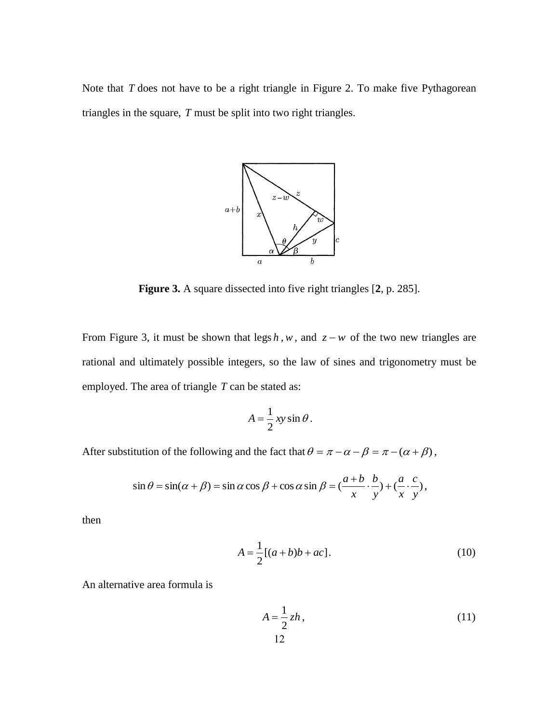Note that T does not have to be a right triangle in Figure 2. To make five Pythagorean triangles in the square, *T* must be split into two right triangles.



**Figure 3.** A square dissected into five right triangles [**2**, p. 285].

From Figure 3, it must be shown that legs  $h, w$ , and  $z - w$  of the two new triangles are rational and ultimately possible integers, so the law of sines and trigonometry must be employed. The area of triangle *T* can be stated as:

$$
A = \frac{1}{2}xy\sin\theta.
$$

After substitution of the following and the fact that  $\theta = \pi - \alpha - \beta = \pi - (\alpha + \beta)$ ,

$$
\sin \theta = \sin(\alpha + \beta) = \sin \alpha \cos \beta + \cos \alpha \sin \beta = (\frac{a+b}{x} \cdot \frac{b}{y}) + (\frac{a}{x} \cdot \frac{c}{y}),
$$

then

$$
A = \frac{1}{2} [(a+b)b + ac].
$$
 (10)

An alternative area formula is

$$
A = \frac{1}{2}zh,
$$
  
12 (11)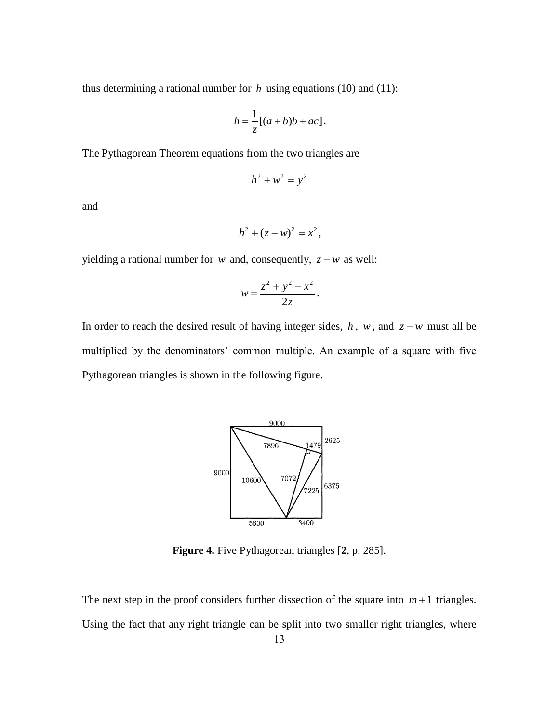thus determining a rational number for  $h$  using equations (10) and (11):

$$
h = \frac{1}{z} [(a+b)b + ac].
$$

The Pythagorean Theorem equations from the two triangles are

$$
h^2 + w^2 = y^2
$$

and

$$
h2 + (z - w)2 = x2,
$$

yielding a rational number for *w* and, consequently,  $z - w$  as well:

$$
w=\frac{z^2+y^2-x^2}{2z}.
$$

In order to reach the desired result of having integer sides,  $h$ ,  $w$ , and  $z-w$  must all be multiplied by the denominators' common multiple. An example of a square with five Pythagorean triangles is shown in the following figure.



**Figure 4.** Five Pythagorean triangles [**2**, p. 285].

The next step in the proof considers further dissection of the square into  $m+1$  triangles. Using the fact that any right triangle can be split into two smaller right triangles, where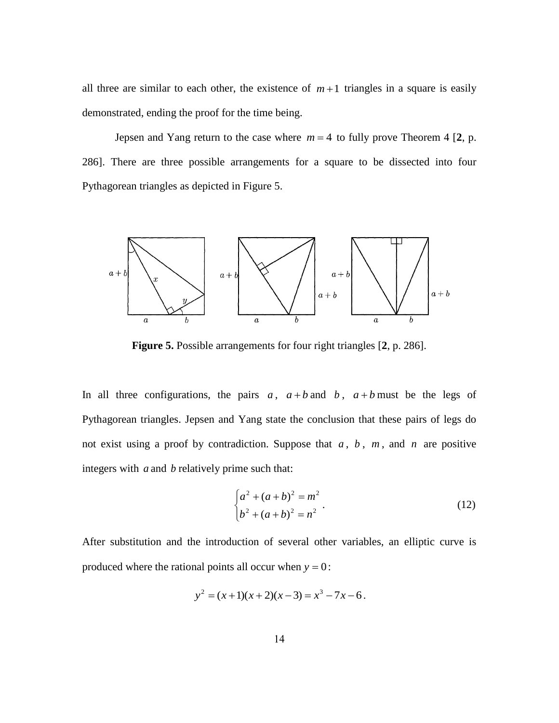all three are similar to each other, the existence of  $m+1$  triangles in a square is easily demonstrated, ending the proof for the time being.

Jepsen and Yang return to the case where  $m = 4$  to fully prove Theorem 4 [2, p. 286]. There are three possible arrangements for a square to be dissected into four Pythagorean triangles as depicted in Figure 5.



**Figure 5.** Possible arrangements for four right triangles [**2**, p. 286].

In all three configurations, the pairs  $a$ ,  $a+b$  and  $b$ ,  $a+b$  must be the legs of Pythagorean triangles. Jepsen and Yang state the conclusion that these pairs of legs do not exist using a proof by contradiction. Suppose that  $a, b, m$ , and  $n$  are positive integers with *a* and *b* relatively prime such that:

$$
\begin{cases} a^2 + (a+b)^2 = m^2 \\ b^2 + (a+b)^2 = n^2 \end{cases} .
$$
 (12)

After substitution and the introduction of several other variables, an elliptic curve is produced where the rational points all occur when  $y = 0$ :

$$
y^2 = (x+1)(x+2)(x-3) = x^3 - 7x - 6.
$$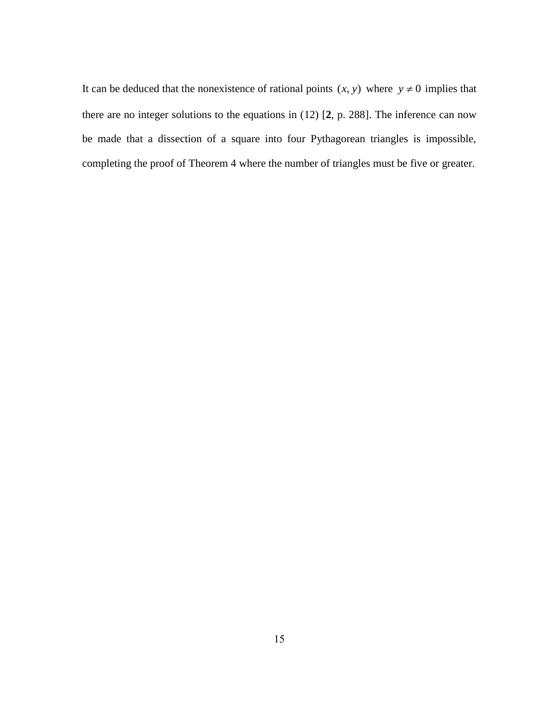It can be deduced that the nonexistence of rational points  $(x, y)$  where  $y \neq 0$  implies that there are no integer solutions to the equations in (12) [**2**, p. 288]. The inference can now be made that a dissection of a square into four Pythagorean triangles is impossible, completing the proof of Theorem 4 where the number of triangles must be five or greater.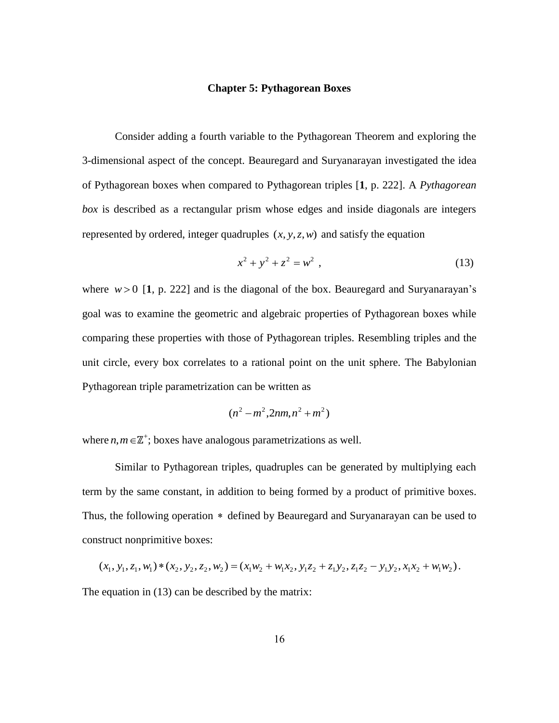#### **Chapter 5: Pythagorean Boxes**

Consider adding a fourth variable to the Pythagorean Theorem and exploring the 3-dimensional aspect of the concept. Beauregard and Suryanarayan investigated the idea of Pythagorean boxes when compared to Pythagorean triples [**1**, p. 222]. A *Pythagorean box* is described as a rectangular prism whose edges and inside diagonals are integers represented by ordered, integer quadruples  $(x, y, z, w)$  and satisfy the equation

$$
x^2 + y^2 + z^2 = w^2 \tag{13}
$$

where  $w > 0$  [1, p. 222] and is the diagonal of the box. Beauregard and Suryanarayan's goal was to examine the geometric and algebraic properties of Pythagorean boxes while comparing these properties with those of Pythagorean triples. Resembling triples and the unit circle, every box correlates to a rational point on the unit sphere. The Babylonian Pythagorean triple parametrization can be written as

$$
(n^2 - m^2, 2nm, n^2 + m^2)
$$

where  $n, m \in \mathbb{Z}^+$ ; boxes have analogous parametrizations as well.

Similar to Pythagorean triples, quadruples can be generated by multiplying each term by the same constant, in addition to being formed by a product of primitive boxes. Thus, the following operation  $*$  defined by Beauregard and Suryanarayan can be used to construct nonprimitive boxes:

$$
(x_1, y_1, z_1, w_1) * (x_2, y_2, z_2, w_2) = (x_1w_2 + w_1x_2, y_1z_2 + z_1y_2, z_1z_2 - y_1y_2, x_1x_2 + w_1w_2).
$$

The equation in (13) can be described by the matrix: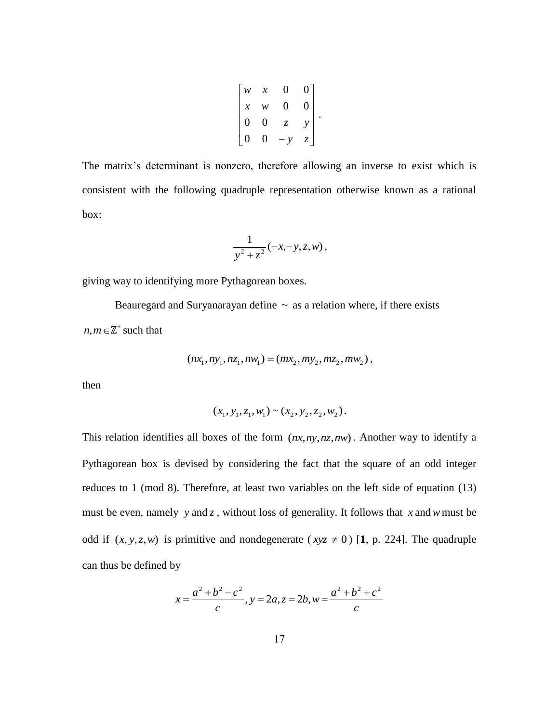$\overline{\phantom{a}}$  $\overline{\phantom{a}}$  $\overline{\phantom{a}}$  $\overline{\phantom{a}}$ J  $\overline{\phantom{a}}$  $\overline{ }$  $\overline{a}$  $\overline{ }$  $\overline{ }$ L  $\overline{a}$  $-y$  *z z y x w w x* 0 0 0 0 0 0 0 0 .

The matrix's determinant is nonzero, therefore allowing an inverse to exist which is consistent with the following quadruple representation otherwise known as a rational box:

$$
\frac{1}{y^2 + z^2}(-x, -y, z, w),
$$

giving way to identifying more Pythagorean boxes.

Beauregard and Suryanarayan define  $\sim$  as a relation where, if there exists  $n,m \in \mathbb{Z}^+$  such that

$$
(nx_1, ny_1, nz_1, nw_1) = (mx_2, my_2, mz_2, mw_2),
$$

then

$$
(x_1, y_1, z_1, w_1) \sim (x_2, y_2, z_2, w_2).
$$

This relation identifies all boxes of the form (*nx*,*ny*,*nz*,*nw*) . Another way to identify a Pythagorean box is devised by considering the fact that the square of an odd integer reduces to 1 (mod 8). Therefore, at least two variables on the left side of equation (13) must be even, namely y and z, without loss of generality. It follows that x and w must be odd if  $(x, y, z, w)$  is primitive and nondegenerate  $(xyz \neq 0)$  [1, p. 224]. The quadruple can thus be defined by

$$
x = \frac{a^2 + b^2 - c^2}{c}, y = 2a, z = 2b, w = \frac{a^2 + b^2 + c^2}{c}
$$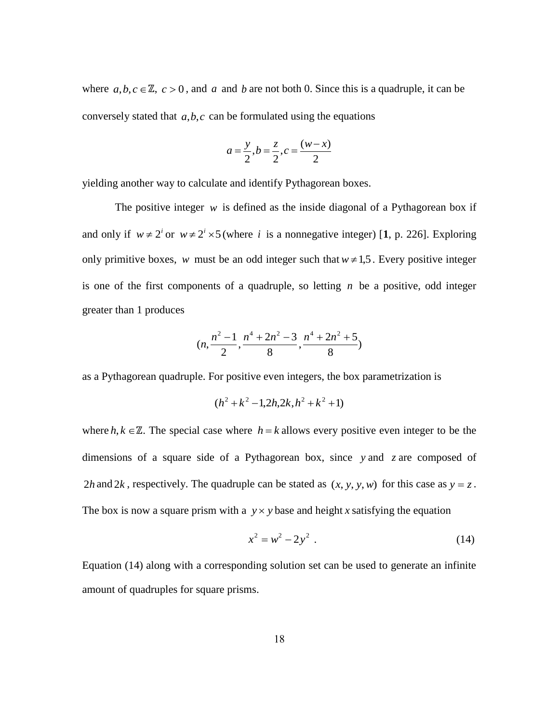where  $a, b, c \in \mathbb{Z}$ ,  $c > 0$ , and a and b are not both 0. Since this is a quadruple, it can be conversely stated that  $a,b,c$  can be formulated using the equations

$$
a = \frac{y}{2}, b = \frac{z}{2}, c = \frac{(w - x)}{2}
$$

yielding another way to calculate and identify Pythagorean boxes.

The positive integer  $w$  is defined as the inside diagonal of a Pythagorean box if and only if  $w \neq 2^i$  or  $w \neq 2^i \times 5$  (where *i* is a nonnegative integer) [1, p. 226]. Exploring only primitive boxes, w must be an odd integer such that  $w \neq 1,5$ . Every positive integer is one of the first components of a quadruple, so letting *n* be a positive, odd integer greater than 1 produces

$$
(n, \frac{n^2 - 1}{2}, \frac{n^4 + 2n^2 - 3}{8}, \frac{n^4 + 2n^2 + 5}{8})
$$

as a Pythagorean quadruple. For positive even integers, the box parametrization is

$$
(h^2 + k^2 - 1, 2h, 2k, h^2 + k^2 + 1)
$$

where  $h, k \in \mathbb{Z}$ . The special case where  $h = k$  allows every positive even integer to be the dimensions of a square side of a Pythagorean box, since y and z are composed of 2*h* and 2*k*, respectively. The quadruple can be stated as  $(x, y, y, w)$  for this case as  $y = z$ . The box is now a square prism with a  $y \times y$  base and height x satisfying the equation

$$
x^2 = w^2 - 2y^2 \tag{14}
$$

Equation (14) along with a corresponding solution set can be used to generate an infinite amount of quadruples for square prisms.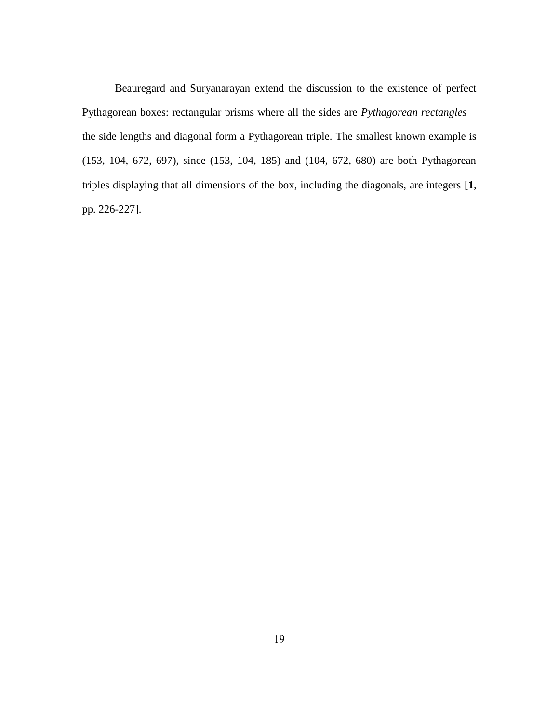Beauregard and Suryanarayan extend the discussion to the existence of perfect Pythagorean boxes: rectangular prisms where all the sides are *Pythagorean rectangles* the side lengths and diagonal form a Pythagorean triple. The smallest known example is (153, 104, 672, 697), since (153, 104, 185) and (104, 672, 680) are both Pythagorean triples displaying that all dimensions of the box, including the diagonals, are integers [**1**, pp. 226-227].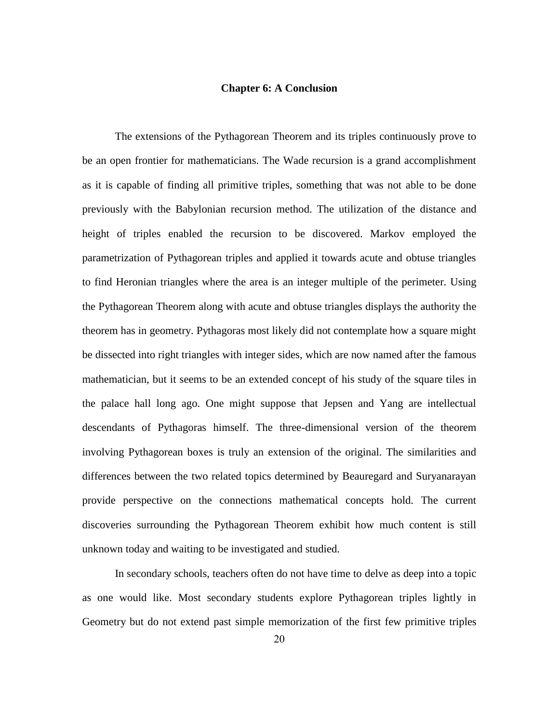#### **Chapter 6: A Conclusion**

The extensions of the Pythagorean Theorem and its triples continuously prove to be an open frontier for mathematicians. The Wade recursion is a grand accomplishment as it is capable of finding all primitive triples, something that was not able to be done previously with the Babylonian recursion method. The utilization of the distance and height of triples enabled the recursion to be discovered. Markov employed the parametrization of Pythagorean triples and applied it towards acute and obtuse triangles to find Heronian triangles where the area is an integer multiple of the perimeter. Using the Pythagorean Theorem along with acute and obtuse triangles displays the authority the theorem has in geometry. Pythagoras most likely did not contemplate how a square might be dissected into right triangles with integer sides, which are now named after the famous mathematician, but it seems to be an extended concept of his study of the square tiles in the palace hall long ago. One might suppose that Jepsen and Yang are intellectual descendants of Pythagoras himself. The three-dimensional version of the theorem involving Pythagorean boxes is truly an extension of the original. The similarities and differences between the two related topics determined by Beauregard and Suryanarayan provide perspective on the connections mathematical concepts hold. The current discoveries surrounding the Pythagorean Theorem exhibit how much content is still unknown today and waiting to be investigated and studied.

In secondary schools, teachers often do not have time to delve as deep into a topic as one would like. Most secondary students explore Pythagorean triples lightly in Geometry but do not extend past simple memorization of the first few primitive triples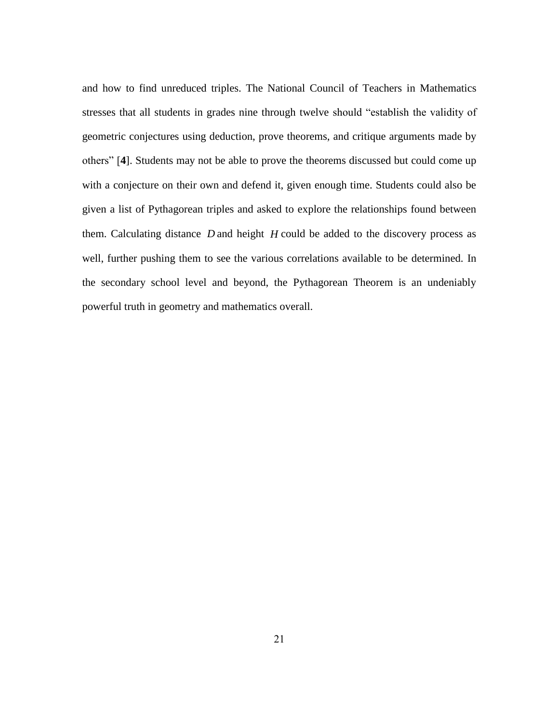and how to find unreduced triples. The National Council of Teachers in Mathematics stresses that all students in grades nine through twelve should "establish the validity of geometric conjectures using deduction, prove theorems, and critique arguments made by others" [**4**]. Students may not be able to prove the theorems discussed but could come up with a conjecture on their own and defend it, given enough time. Students could also be given a list of Pythagorean triples and asked to explore the relationships found between them. Calculating distance *D* and height *H* could be added to the discovery process as well, further pushing them to see the various correlations available to be determined. In the secondary school level and beyond, the Pythagorean Theorem is an undeniably powerful truth in geometry and mathematics overall.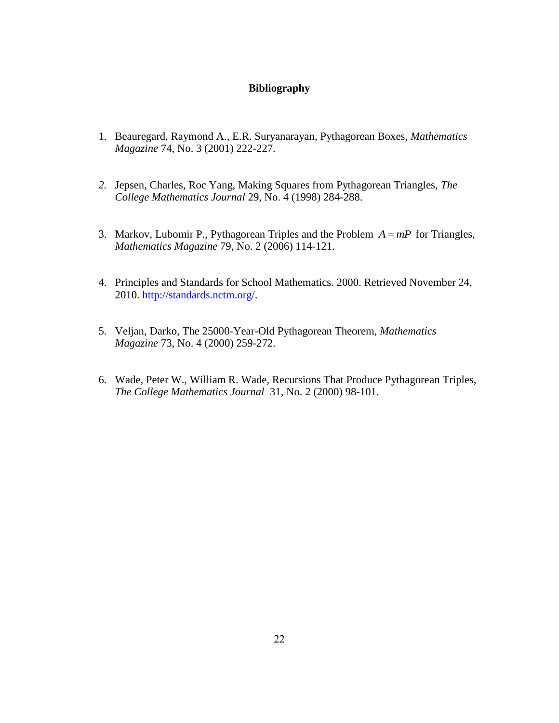#### **Bibliography**

- 1. Beauregard, Raymond A., E.R. Suryanarayan, Pythagorean Boxes, *Mathematics Magazine* 74, No. 3 (2001) 222-227.
- *2.* Jepsen, Charles, Roc Yang, Making Squares from Pythagorean Triangles, *The College Mathematics Journal* 29, No. 4 (1998) 284-288.
- 3. Markov, Lubomir P., Pythagorean Triples and the Problem  $A = mP$  for Triangles, *Mathematics Magazine* 79, No. 2 (2006) 114-121.
- 4. Principles and Standards for School Mathematics. 2000. Retrieved November 24, 2010. [http://standards.nctm.org/.](http://standards.nctm.org/)
- 5. Veljan, Darko, The 25000-Year-Old Pythagorean Theorem, *Mathematics Magazine* 73, No. 4 (2000) 259-272.
- 6. Wade, Peter W., William R. Wade, Recursions That Produce Pythagorean Triples, *The College Mathematics Journal* 31, No. 2 (2000) 98-101.